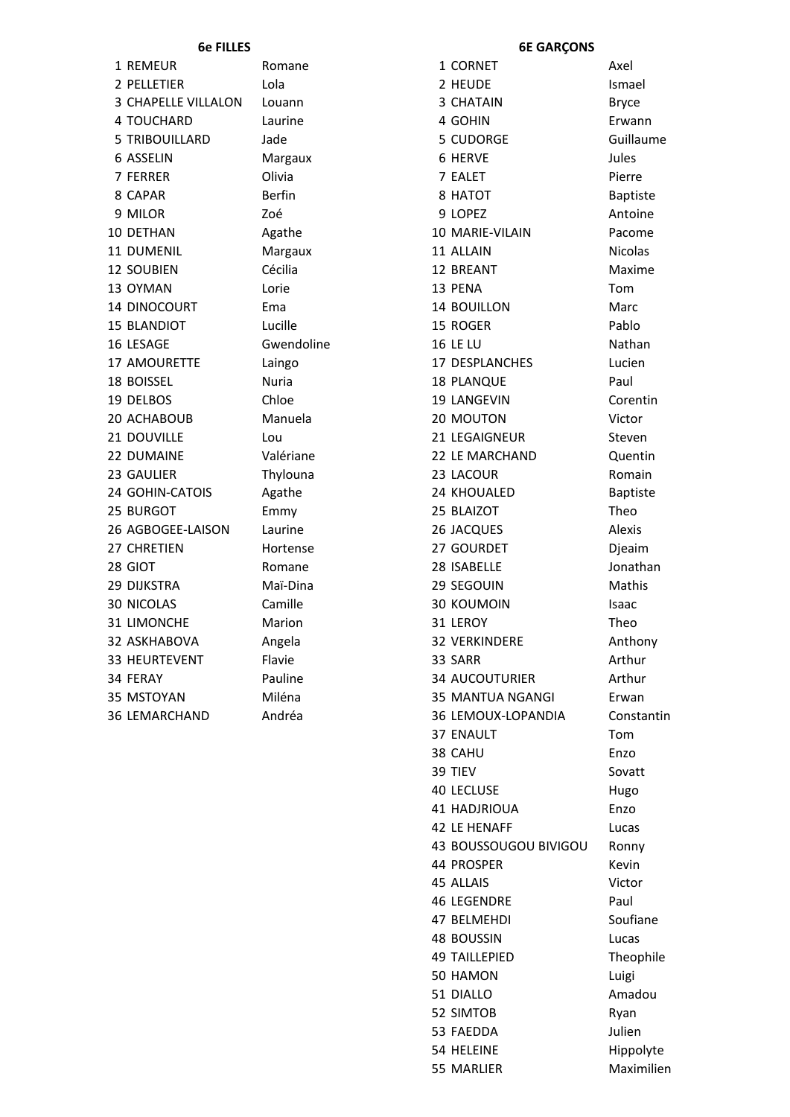|   | 1 REMEUR            | Ro  |
|---|---------------------|-----|
|   | 2 PELLETIER         | Lo  |
|   | 3 CHAPELLE VILLALON | Lo  |
|   | 4 TOUCHARD          | La  |
|   | 5 TRIBOUILLARD      | Jao |
|   | 6 ASSELIN           | M   |
|   | <b>7 FERRER</b>     | Oli |
| 8 | <b>CAPAR</b>        | Be  |
|   | 9 MILOR             | Zo  |
|   | 10 DETHAN           | Ag  |
|   | 11 DUMENIL          | M   |
|   | <b>12 SOUBIEN</b>   | Cé  |
|   | 13 OYMAN            | Lo  |
|   | 14 DINOCOURT        | En  |
|   | <b>15 BLANDIOT</b>  | Lu  |
|   | 16 LESAGE           | Gv  |
|   | 17 AMOURETTE        | Lai |
|   | <b>18 BOISSEL</b>   | Nι  |
|   | 19 DELBOS           | Ch  |
|   | 20 ACHABOUB         | M   |
|   | 21 DOUVILLE         | Lo  |
|   | 22 DUMAINE          | Va  |
|   | 23 GAULIER          | Th  |
|   | 24 GOHIN-CATOIS     | Ag  |
|   | 25 BURGOT           | En  |
|   | 26 AGBOGEE-LAISON   | La  |
|   | 27 CHRETIEN         | Hc  |
|   | 28 GIOT             | Ro  |
|   | 29 DIJKSTRA         | M   |
|   | <b>30 NICOLAS</b>   | Ca  |
|   | 31 LIMONCHE         | M   |
|   | 32 ASKHABOVA        | An  |
|   | 33 HEURTEVENT       | Fla |
|   | 34 FERAY            | Pa  |
|   | 35 MSTOYAN          | Mi  |
|   | 36 LEMARCHAND       | An  |
|   |                     |     |

mane 1 CORNET Axel

### **6e FILLES 6E GARÇONS**

2 PELLETIER Lola Lola 2 HEUDE Ismael uann 3 CHATAIN Bryce 4 TOUCHARD Laurine 1 and 4 GOHIN Erwann de 5 CUDORGE Guillaume 6 ASSELIN **Margaux** 6 HERVE **SECULTS** 7 FERRER Olivia 7 EALET Pierre 8 CAPAR Berfin 8 HATOT Baptiste 9 MILOR Zoé 9 LOPEZ Antoine athe 10 MARIE-VILAIN Pacome 11 DUMENIL Margaux 11 ALLAIN Nicolas ecilia 12 BREANT Maxime 13 OYMAN Lorie 13 PENA Tom na 14 BOUILLON Marc 15 BLANDIOT Lucille Lucille 15 ROGER Pablo 16 LESAGE Gwendoline 16 LE LU Nathan ingo 17 DESPLANCHES Lucien **18 PLANQUE** Paul notice the corent of the 19 LANGEVIN corenting corenting the corent of the corent of the corent of the corent o anuela 20 MOUTON Victor **21 LEGAIGNEUR** Steven llériane 22 LE MARCHAND Quentin 23 GAULIER **Thylouna 23 LACOUR** Romain zathe 24 KHOUALED Baptiste nmy 25 BLAIZOT Theo urine 26 JACQUES Alexis ortense 27 GOURDET Dieaim mane 28 ISABELLE Jonathan aï-Dina 29 SEGOUIN Mathis mille 30 KOUMOIN Isaac 31 LIMONCHE Marion 31 LEROY Theo gela 32 VERKINDERE Anthony 33 HEURTEVENT Flavie **Flavie** 33 SARR Arthur uline 34 AUCOUTURIER Arthur iléna **35 MANTUA NGANGI** Erwan dréa 2012 - 36 LEMOUX-LOPANDIA Constantin 37 ENAULT Tom 38 CAHU Enzo 39 TIEV Sovatt 40 LECLUSE Hugo 41 HADJRIOUA Enzo 42 LE HENAFF Lucas 43 BOUSSOUGOU BIVIGOU Ronny 44 PROSPER Kevin 45 ALLAIS Victor 46 LEGENDRE Paul 47 BELMEHDI Soufiane 48 BOUSSIN Lucas 49 TAILLEPIED Theophile 50 HAMON Luigi 51 DIALLO Amadou 52 SIMTOB Ryan 53 FAEDDA Julien 54 HELEINE Hippolyte 55 MARLIER Maximilien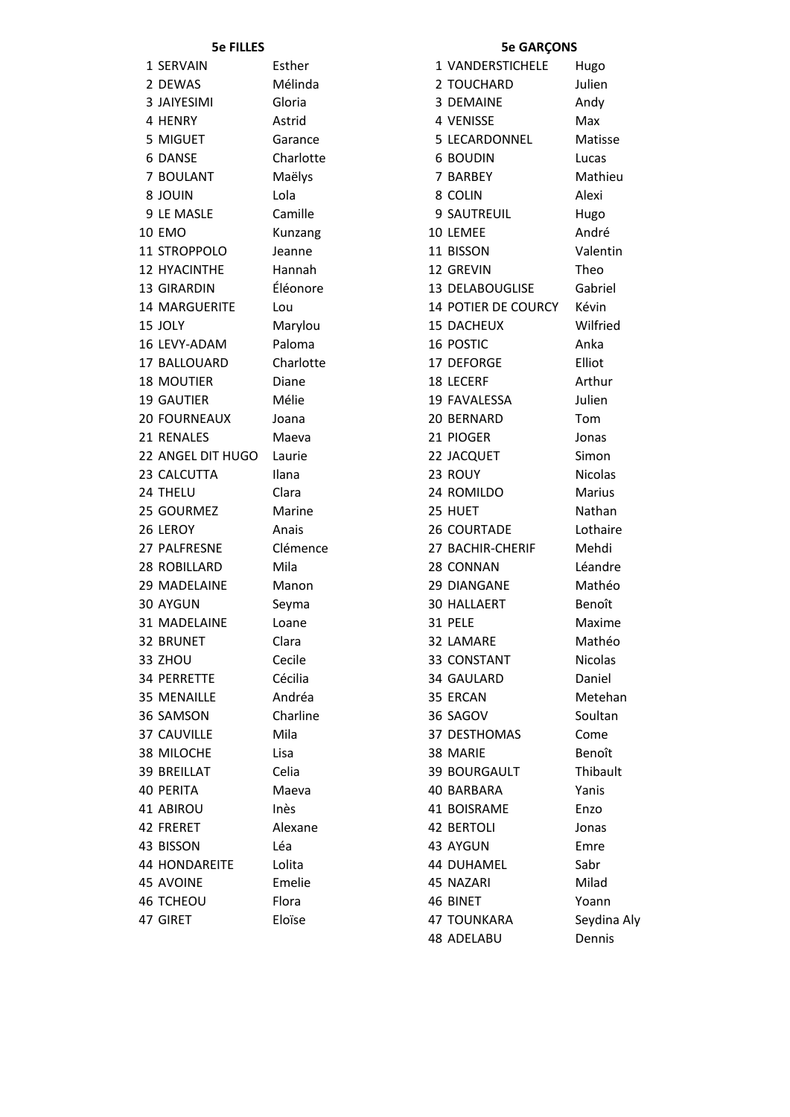# **5e FILLES**

| 1 SERVAIN            | Esther    |
|----------------------|-----------|
| 2 DEWAS              | Mélinda   |
| 3 JAIYESIMI          | Gloria    |
| 4 HENRY              | Astrid    |
| 5 MIGUET             | Garance   |
| 6 DANSE              | Charlotte |
| 7 BOULANT            | Maëlys    |
| <b>NIUOL 8</b>       | Lola      |
| 9 LE MASLE           | Camille   |
| <b>10 EMO</b>        | Kunzang   |
| 11 STROPPOLO         | Jeanne    |
| <b>12 HYACINTHE</b>  | Hannah    |
| <b>13 GIRARDIN</b>   | Éléonore  |
| <b>14 MARGUERITE</b> | Lou       |
| 15 JOLY              | Marylou   |
| 16 LEVY-ADAM         | Paloma    |
| <b>17 BALLOUARD</b>  | Charlotte |
| <b>18 MOUTIER</b>    | Diane     |
| <b>19 GAUTIER</b>    | Mélie     |
| <b>20 FOURNEAUX</b>  | Joana     |
| 21 RENALES           | Maeva     |
| 22 ANGEL DIT HUGO    | Laurie    |
| 23 CALCUTTA          | Ilana     |
| 24 THELU             | Clara     |
| 25 GOURMEZ           | Marine    |
|                      |           |
| 26 LEROY             | Anais     |
| 27 PALFRESNE         | Clémence  |
| 28 ROBILLARD         | Mila      |
| <b>29 MADELAINE</b>  | Manon     |
| <b>30 AYGUN</b>      | Seyma     |
| <b>31 MADELAINE</b>  | Loane     |
| <b>32 BRUNET</b>     | Clara     |
| 33 ZHOU              | Cecile    |
| <b>34 PERRETTE</b>   | Cécilia   |
| <b>35 MENAILLE</b>   | Andréa    |
| 36 SAMSON            | Charline  |
| 37 CAUVILLE          | Mila      |
| 38 MILOCHE           | Lisa      |
| <b>39 BREILLAT</b>   | Celia     |
| <b>40 PERITA</b>     | Maeva     |
| 41 ABIROU            | Inès      |
| 42 FRERET            | Alexane   |
| 43 BISSON            | Léa       |
| <b>44 HONDAREITE</b> | Lolita    |
| <b>45 AVOINE</b>     | Emelie    |
| <b>46 TCHEOU</b>     | Flora     |
| 47 GIRET             | Eloïse    |

# **5e GARÇONS**

| 1 VANDERSTICHELE Hugo     |                |
|---------------------------|----------------|
| 2 TOUCHARD                | Julien         |
| 3 DEMAINE                 | Andy           |
| 4 VENISSE                 | Max            |
| 5 LECARDONNEL             | Matisse        |
| <b>6 BOUDIN</b>           | Lucas          |
| 7 BARBEY                  | Mathieu        |
| 8 COLIN                   | Alexi          |
| <b>9 SAUTREUIL</b>        | Hugo           |
| 10 LEMEE                  | André          |
| 11 BISSON                 | Valentin       |
| 12 GREVIN                 | Theo           |
| <b>13 DELABOUGLISE</b>    | Gabriel        |
| 14 POTIER DE COURCY Kévin |                |
| <b>15 DACHEUX</b>         | Wilfried       |
| <b>16 POSTIC</b>          | Anka           |
| <b>17 DEFORGE</b>         | Elliot         |
| <b>18 LECERF</b>          | Arthur         |
| 19 FAVALESSA              | Julien         |
| 20 BERNARD                | Tom            |
|                           |                |
| 21 PIOGER                 | Jonas          |
| 22 JACQUET                | Simon          |
| 23 ROUY                   | <b>Nicolas</b> |
| 24 ROMILDO                | Marius         |
| 25 HUET                   | Nathan         |
| <b>26 COURTADE</b>        | Lothaire       |
| 27 BACHIR-CHERIF          | Mehdi          |
| 28 CONNAN                 | Léandre        |
| <b>29 DIANGANE</b>        | Mathéo         |
| <b>30 HALLAERT</b>        | Benoît         |
| 31 PELE                   | Maxime         |
| 32 LAMARE                 | Mathéo         |
| 33 CONSTANT               | <b>Nicolas</b> |
| <b>34 GAULARD</b>         | Daniel         |
| 35 ERCAN                  | Metehan        |
| 36 SAGOV                  | Soultan        |
| <b>37 DESTHOMAS</b>       | Come           |
| 38 MARIE                  | Benoît         |
|                           |                |
| <b>39 BOURGAULT</b>       | Thibault       |
| <b>40 BARBARA</b>         | Yanis          |
| <b>41 BOISRAME</b>        | Enzo           |
| <b>42 BERTOLI</b>         | Jonas          |
| 43 AYGUN                  | Emre           |
| <b>44 DUHAMEL</b>         | Sabr           |
| 45 NAZARI                 | Milad          |
| 46 BINET                  | Yoann          |
| <b>47 TOUNKARA</b>        | Seydina Aly    |
| 48 ADELABU                | Dennis         |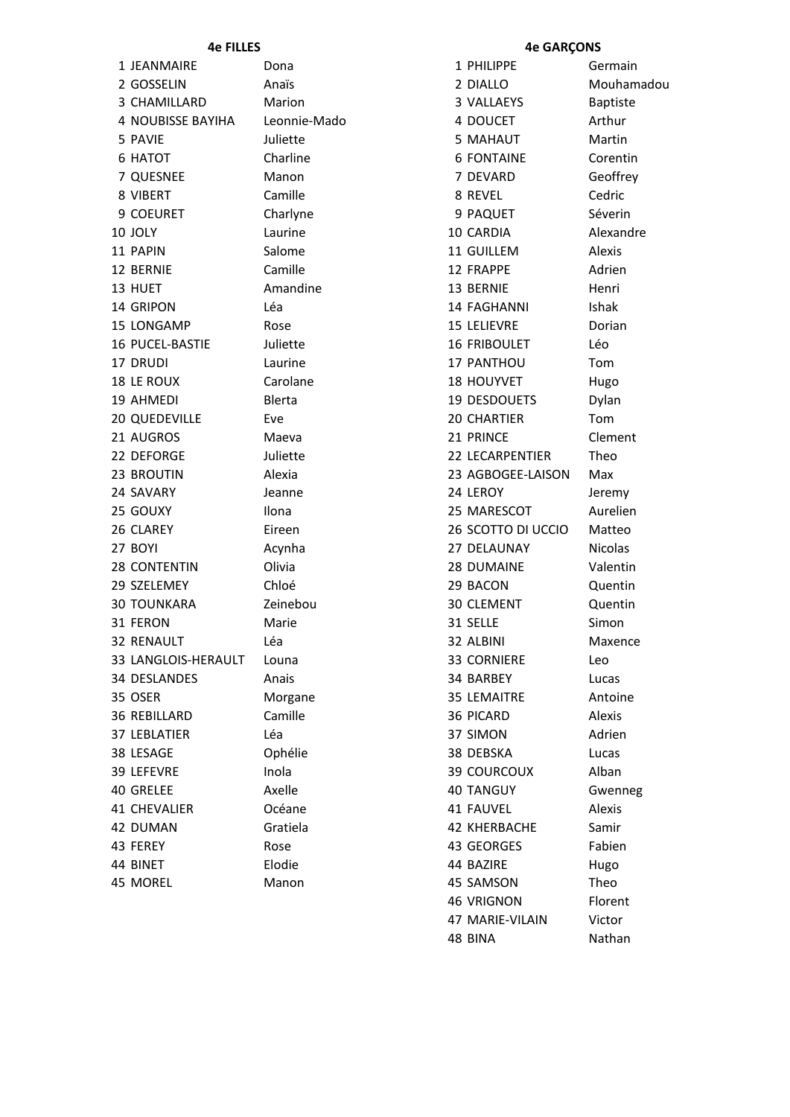| 1 JEANMAIRE              | Dona         | 1 PHILIPPE          | Germain         |
|--------------------------|--------------|---------------------|-----------------|
| 2 GOSSELIN               | Anaïs        | 2 DIALLO            | Mouhamadou      |
| 3 CHAMILLARD             | Marion       | 3 VALLAEYS          | <b>Baptiste</b> |
| <b>4 NOUBISSE BAYIHA</b> | Leonnie-Mado | 4 DOUCET            | Arthur          |
| 5 PAVIE                  | Juliette     | 5 MAHAUT            | Martin          |
| 6 HATOT                  | Charline     | <b>6 FONTAINE</b>   | Corentin        |
| 7 QUESNEE                | Manon        | 7 DEVARD            | Geoffrey        |
| 8 VIBERT                 | Camille      | 8 REVEL             | Cedric          |
| 9 COEURET                | Charlyne     | 9 PAQUET            | Séverin         |
| 10 JOLY                  | Laurine      | 10 CARDIA           | Alexandre       |
| 11 PAPIN                 | Salome       | 11 GUILLEM          | Alexis          |
| 12 BERNIE                | Camille      | 12 FRAPPE           | Adrien          |
| 13 HUET                  | Amandine     | 13 BERNIE           | Henri           |
| 14 GRIPON                | Léa          | 14 FAGHANNI         | <b>Ishak</b>    |
| 15 LONGAMP               | Rose         | <b>15 LELIEVRE</b>  | Dorian          |
| 16 PUCEL-BASTIE          | Juliette     | <b>16 FRIBOULET</b> | Léo             |
| 17 DRUDI                 | Laurine      | 17 PANTHOU          | Tom             |
| 18 LE ROUX               | Carolane     | 18 HOUYVET          | Hugo            |
| 19 AHMEDI                | Blerta       | 19 DESDOUETS        | Dylan           |
| <b>20 QUEDEVILLE</b>     | Eve          | <b>20 CHARTIER</b>  | Tom             |
| 21 AUGROS                | Maeva        | 21 PRINCE           | Clement         |
| 22 DEFORGE               | Juliette     | 22 LECARPENTIER     | Theo            |
| 23 BROUTIN               | Alexia       | 23 AGBOGEE-LAISON   | Max             |
| 24 SAVARY                | Jeanne       | 24 LEROY            | Jeremy          |
| 25 GOUXY                 | Ilona        | 25 MARESCOT         | Aurelien        |
| 26 CLAREY                | Eireen       | 26 SCOTTO DI UCCIO  | Matteo          |
| 27 BOYI                  | Acynha       | 27 DELAUNAY         | <b>Nicolas</b>  |
| <b>28 CONTENTIN</b>      | Olivia       | 28 DUMAINE          | Valentin        |
| 29 SZELEMEY              | Chloé        | 29 BACON            | Quentin         |
| <b>30 TOUNKARA</b>       | Zeinebou     | 30 CLEMENT          | Quentin         |
| 31 FERON                 | Marie        | 31 SELLE            | Simon           |
| <b>32 RENAULT</b>        | Léa          | 32 ALBINI           | Maxence         |
| 33 LANGLOIS-HERAULT      | Louna        | <b>33 CORNIERE</b>  | Leo             |
| 34 DESLANDES             | Anais        | 34 BARBEY           | Lucas           |
| 35 OSER                  | Morgane      | <b>35 LEMAITRE</b>  | Antoine         |
| <b>36 REBILLARD</b>      | Camille      | 36 PICARD           | Alexis          |
| 37 LEBLATIER             | Léa          | 37 SIMON            | Adrien          |
| 38 LESAGE                | Ophélie      | 38 DEBSKA           | Lucas           |
| 39 LEFEVRE               | Inola        | <b>39 COURCOUX</b>  | Alban           |
| 40 GRELEE                | Axelle       | <b>40 TANGUY</b>    | Gwenneg         |
| 41 CHEVALIER             | Océane       | 41 FAUVEL           | Alexis          |
| 42 DUMAN                 | Gratiela     | <b>42 KHERBACHE</b> | Samir           |
| 43 FEREY                 | Rose         | 43 GEORGES          | Fabien          |
| 44 BINET                 | Elodie       | 44 BAZIRE           | Hugo            |
| 45 MOREL                 | Manon        | 45 SAMSON           | Theo            |
|                          |              | 46 VRIGNON          | Florent         |

## **4e FILLES 4e GARÇONS**

| PHILIPPE<br>1         | Germain         |
|-----------------------|-----------------|
| <b>DIALLO</b><br>2    | Mouham          |
| 3 VALLAEYS            | <b>Baptiste</b> |
| 4 DOUCET              | Arthur          |
| 5 MAHAUT              | Martin          |
| <b>6 FONTAINE</b>     | Corentin        |
| 7 DEVARD              | Geoffrey        |
| 8 REVEL               | Cedric          |
| 9 PAQUET              | Séverin         |
| 10 CARDIA             | Alexandre       |
| 11 GUILLEM            | Alexis          |
| 12 FRAPPE             | Adrien          |
| 13 BERNIE             | Henri           |
| <b>14 FAGHANNI</b>    | <b>Ishak</b>    |
| <b>15 LELIEVRE</b>    | Dorian          |
| <b>16 FRIBOULET</b>   | Léo             |
| 17 PANTHOU            | Tom             |
| <b>18 HOUYVET</b>     | Hugo            |
| 19 DESDOUETS          | Dylan           |
| <b>20 CHARTIER</b>    | Tom             |
| 21 PRINCE             | Clement         |
| 22 LECARPENTIER       | Theo            |
| 23 AGBOGEE-LAISON     | Max             |
| 24 LEROY              | Jeremy          |
| 25 MARESCOT           | Aurelien        |
| 26 SCOTTO DI UCCIO    | Matteo          |
| 27 DELAUNAY           | <b>Nicolas</b>  |
| 28 DUMAINE            | Valentin        |
| 29 BACON              | Quentin         |
| 30 CLEMENT            | Quentin         |
|                       |                 |
| 31 SELLE<br>32 ALBINI | Simon           |
|                       | Maxence         |
| 33 CORNIERE           | Leo             |
| 34 BARBEY             | Lucas           |
| <b>35 LEMAITRE</b>    | Antoine         |
| 36 PICARD             | Alexis          |
| 37 SIMON              | Adrien          |
| 38 DEBSKA             | Lucas           |
| <b>39 COURCOUX</b>    | Alban           |
| <b>40 TANGUY</b>      | Gwenneg         |
| <b>41 FAUVEL</b>      | Alexis          |
| 42 KHERBACHE          | Samir           |
| 43 GEORGES            | Fabien          |
| 44 BAZIRE             | Hugo            |
| 45 SAMSON             | Theo            |
| <b>46 VRIGNON</b>     | Florent         |
| 47 MARIE-VILAIN       | Victor          |
| 48 BINA               | Nathan          |